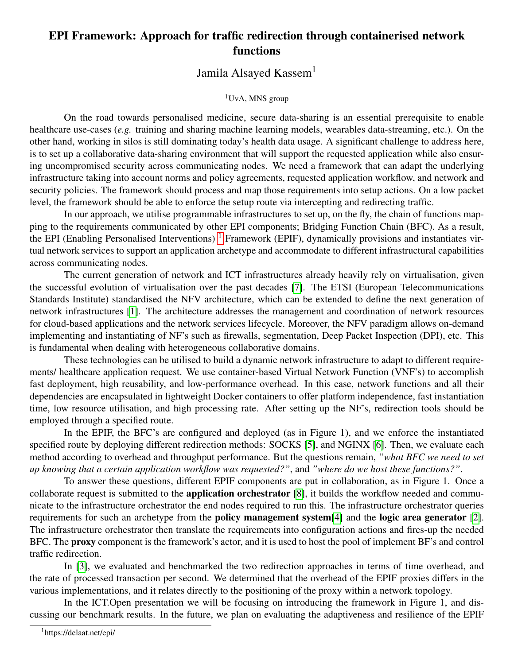## EPI Framework: Approach for traffic redirection through containerised network functions

## Jamila Alsayed Kassem<sup>1</sup>

## <sup>1</sup>UvA, MNS group

On the road towards personalised medicine, secure data-sharing is an essential prerequisite to enable healthcare use-cases (*e.g.* training and sharing machine learning models, wearables data-streaming, etc.). On the other hand, working in silos is still dominating today's health data usage. A significant challenge to address here, is to set up a collaborative data-sharing environment that will support the requested application while also ensuring uncompromised security across communicating nodes. We need a framework that can adapt the underlying infrastructure taking into account norms and policy agreements, requested application workflow, and network and security policies. The framework should process and map those requirements into setup actions. On a low packet level, the framework should be able to enforce the setup route via intercepting and redirecting traffic.

In our approach, we utilise programmable infrastructures to set up, on the fly, the chain of functions mapping to the requirements communicated by other EPI components; Bridging Function Chain (BFC). As a result, the EPI (Enabling Personalised Interventions)  $<sup>1</sup>$  $<sup>1</sup>$  $<sup>1</sup>$  Framework (EPIF), dynamically provisions and instantiates vir-</sup> tual network services to support an application archetype and accommodate to different infrastructural capabilities across communicating nodes.

The current generation of network and ICT infrastructures already heavily rely on virtualisation, given the successful evolution of virtualisation over the past decades [\[7\]](#page-1-0). The ETSI (European Telecommunications Standards Institute) standardised the NFV architecture, which can be extended to define the next generation of network infrastructures [\[1\]](#page-1-1). The architecture addresses the management and coordination of network resources for cloud-based applications and the network services lifecycle. Moreover, the NFV paradigm allows on-demand implementing and instantiating of NF's such as firewalls, segmentation, Deep Packet Inspection (DPI), etc. This is fundamental when dealing with heterogeneous collaborative domains.

These technologies can be utilised to build a dynamic network infrastructure to adapt to different requirements/ healthcare application request. We use container-based Virtual Network Function (VNF's) to accomplish fast deployment, high reusability, and low-performance overhead. In this case, network functions and all their dependencies are encapsulated in lightweight Docker containers to offer platform independence, fast instantiation time, low resource utilisation, and high processing rate. After setting up the NF's, redirection tools should be employed through a specified route.

In the EPIF, the BFC's are configured and deployed (as in Figure 1), and we enforce the instantiated specified route by deploying different redirection methods: SOCKS [\[5\]](#page-1-2), and NGINX [\[6\]](#page-1-3). Then, we evaluate each method according to overhead and throughput performance. But the questions remain, *"what BFC we need to set up knowing that a certain application workflow was requested?"*, and *"where do we host these functions?"*.

To answer these questions, different EPIF components are put in collaboration, as in Figure 1. Once a collaborate request is submitted to the application orchestrator [\[8\]](#page-1-4), it builds the workflow needed and communicate to the infrastructure orchestrator the end nodes required to run this. The infrastructure orchestrator queries requirements for such an archetype from the policy management system[\[4\]](#page-1-5) and the logic area generator [\[2\]](#page-1-6). The infrastructure orchestrator then translate the requirements into configuration actions and fires-up the needed BFC. The proxy component is the framework's actor, and it is used to host the pool of implement BF's and control traffic redirection.

In [\[3\]](#page-1-7), we evaluated and benchmarked the two redirection approaches in terms of time overhead, and the rate of processed transaction per second. We determined that the overhead of the EPIF proxies differs in the various implementations, and it relates directly to the positioning of the proxy within a network topology.

<span id="page-0-0"></span>In the ICT. Open presentation we will be focusing on introducing the framework in Figure 1, and discussing our benchmark results. In the future, we plan on evaluating the adaptiveness and resilience of the EPIF